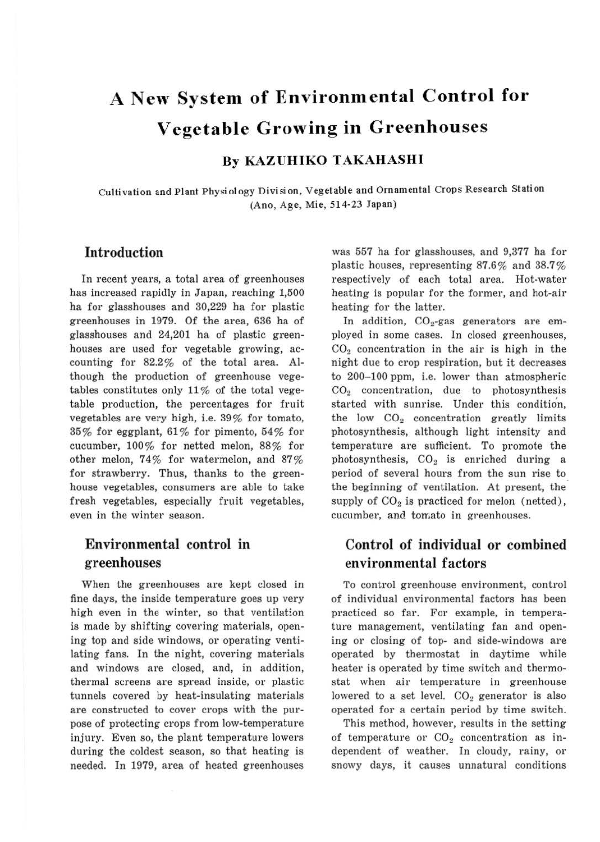# **A New System of Environmental Control for Vegetable Growing in Greenhouses**

## **By KAZUHIKO TAKAHASHI**

Cultivation and Plant Physiology Division, Vegetable and Ornamental Crops Research Station (Ano, Age, Mie, 514-23 Japan)

#### **Introduction**

In recent years, a total area of greenhouses has increased rapidly in Japan, reaching 1,500 ha for glasshouses and 30,229 ha for plastic greenhouses in 1979. Of the area, 636 ha of glasshouses and 24,201 ha of plastic greenhouses are used for vegetable growing, accounting for 82.2% of the total area. Although the production of greenhouse vegetables constitutes only  $11\%$  of the total vegetable production, the percentages for fruit vegetables are very high, i.e. 39 % for tomato, 35% for eggplant, 61 % for pimento, 54% for cucumber, 100% for netted melon, 88% for other melon, 74% for watermelon, and 87% for strawberry. Thus, thanks to the greenhouse vegetables, consumers are able to take fresh vegetables, especially fruit vegetables, even in the winter season.

## Environmental control in **greenhouses**

When the greenhouses are kept closed in fine days, the inside temperature goes up very high even in the winter, so that ventilat:on is made by shifting covering materials, opening top and side windows, or operating ventilating fans. In the night, covering materials and windows are closed, and, in addition, thermal screens are spread inside, or plastic tunnels covered by heat-insulating materials are constructed to cover crops with the purpose of protecting crops from low-temperature injury. Even so, the plant temperature lowers during the coldest season, so that heating is needed. In 1979, area of heated greenhouses was 557 ha for glasshouses, and 9,377 ha for plastic houses, representing 87.6% and 38.7% respectively of each total area. Hot-water heating is popular for the former, and hot-air heating for the latter.

In addition,  $CO<sub>2</sub>$ -gas generators are employed in some cases. In closed greenhouses,  $CO<sub>2</sub>$  concentration in the air is high in the night due to crop respiration, but it decreases to 200-100 ppm, i.e. lower than atmospheric  $CO<sub>2</sub>$  concentration, due to photosynthesis started with sunrise. Under this condition, the low  $CO<sub>2</sub>$  concentration greatly limits photosynthesis, although light intensity and temperature are sufficient. To promote the photosynthesis,  $CO<sub>2</sub>$  is enriched during a period of several hours from the sun rise to the beginning of ventilation. At present, the supply of  $CO<sub>2</sub>$  is practiced for melon (netted), cucumber, and tomato in greenhouses.

## **Control of individual or combined environmental factors**

To control greenhouse environment, control of individual environmental factors has been practiced so far. For example, in temperature management, ventilating fan and opening or closing of top- and side-windows are operated by thermostat in daytime while heater is operated by time switch and thermostat when air temperature in greenhouse lowered to a set level.  $CO<sub>2</sub>$  generator is also operated for a certain period by time switch.

This method, however, results in the setting of temperature or  $CO<sub>2</sub>$  concentration as independent of weather. In cloudy, rainy, or snowy days, it causes unnatural conditions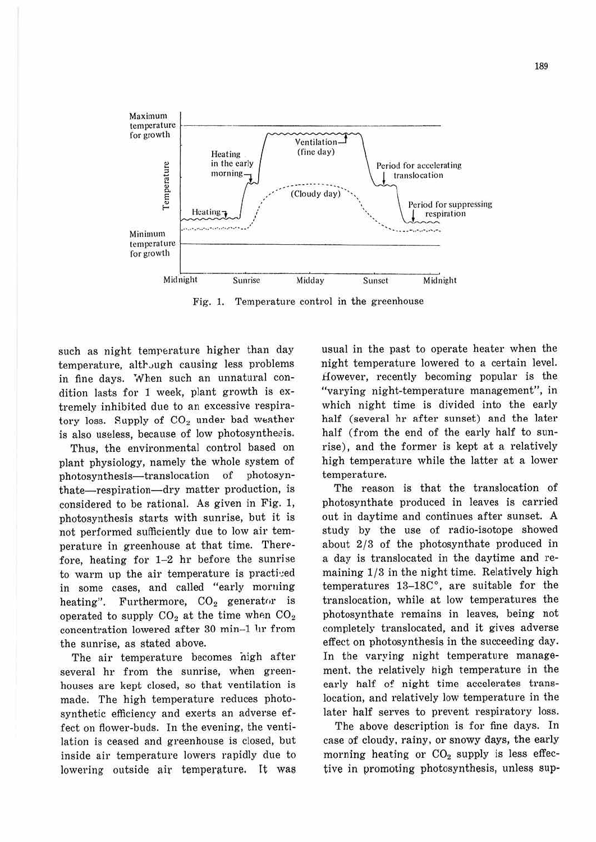

Fig. 1. Temperature control in the greenhouse

such as night temperature higher than day temperature, although causing less problems in fine days. When such an unnatural condition lasts for 1 week, plant growth is extremely inhibited due to an excessive respiratory loss. Supply of CO<sub>2</sub> under bad weather is also useless, because of low photosynthesis.

Thus, the environmental control based on plant physiology, namely the whole system of photosynthesis-translocation of photosynthate—respiration—dry matter production, is considered to be rational. As given in Fig. 1, photosynthesis starts with sunrise, but it is not performed sufficiently due to low air temperature in greenhouse at that time. Therefore, heating for  $1-2$  hr before the sunrise to warm up the air temperature is practived in some cases, and called "early morning Furthermore,  $CO<sub>2</sub>$  generator is heating". operated to supply  $CO_2$  at the time when  $CO_2$ concentration lowered after 30 min-1 lir from the sunrise, as stated above.

The air temperature becomes nigh after several hr from the sunrise, when greenhouses are kept closed, so that ventilation is made. The high temperature reduces photosynthetic efficiency and exerts an adverse effect on flower-buds. In the evening, the ventilation is ceased and greenhouse is closed, but inside air temperature lowers rapidly due to lowering outside air temperature. It was

usual in the past to operate heater when the night temperature lowered to a certain level. However, recently becoming popular is the "varving night-temperature management", in which night time is divided into the early half (several hr after sunset) and the later half (from the end of the early half to sunrise), and the former is kept at a relatively high temperature while the latter at a lower temperature.

The reason is that the translocation of photosynthate produced in leaves is carried out in daytime and continues after sunset. A study by the use of radio-isotope showed about 2/3 of the photosynthate produced in a day is translocated in the daytime and remaining 1/3 in the night time. Relatively high temperatures 13-18C°, are suitable for the translocation, while at low temperatures the photosynthate remains in leaves, being not completely translocated, and it gives adverse effect on photosynthesis in the succeeding day. In the varying night temperature management, the relatively high temperature in the early half of night time accelerates translocation, and relatively low temperature in the later half serves to prevent respiratory loss.

The above description is for fine days. In case of cloudy, rainy, or snowy days, the early morning heating or  $CO<sub>2</sub>$  supply is less effective in promoting photosynthesis, unless sup-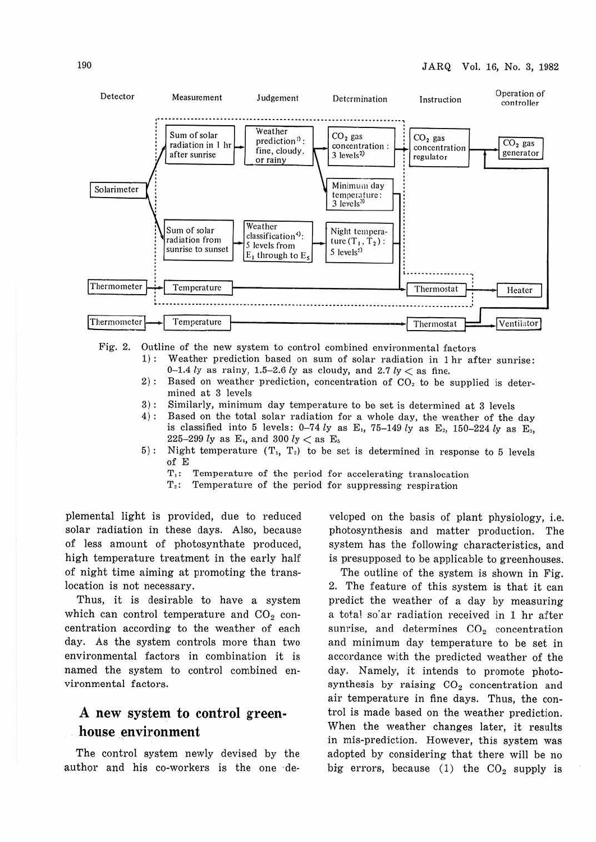

Fig. 2. Outline of the new system to control combined environmental factors

- 1): Weather prediction based on sum of solar radiation in 1 hr after sunrise: 0-1.4 *ly* as rainy, 1.5-2.6 *ly* as cloudy, and  $2.7$  *ly*  $\lt$  as fine.
- 2) : Based on weather prediction, concentration of  $CO<sub>2</sub>$  to be supplied is determined at 3 levels
- 3): Similarly, minimum day temperature to be set is determined at 3 levels 4): Based on the total solar radiation for a whole day, the weather of the
- Based on the total solar radiation for a whole day, the weather of the day is classified into 5 levels: 0-74 *ly* as E<sub>1</sub>, 75-149 *ly* as E<sub>2</sub>, 150-224 *ly* as E<sub>3</sub>, 226-299 *ly* as E,, and 300 *ly* < as E.
- 5): Night temperature  $(T_1, T_2)$  to be set is determined in response to 5 levels of E
	- T,: Temperature of the period for accelerating translocation
	- T,: Temperature of the period for suppressing respiration

plemental light is provided, due to reduced solar radiation in these days. Also, because of less amount of photosynthate produced, high temperature treatment in the early half of night time aiming at promoting the translocation is not necessary.

Thus, it is desirable to have a system which can control temperature and  $CO<sub>2</sub>$  concentration according to the weather of each day. As the system controls more than two environmental factors in combination it is named the system to control combined environmental factors.

### **A new system to control greenhouse environment**

The control system newly devised by the author and his co-workers is the one ·developed on the basis of plant physiology, i.e. photosynthesis and matter production. The system has the following characteristics, and is presupposed to be applicable to greenhouses.

The outline of the system is shown in Fig. 2. The feature of this system is that it can predict the weather of a day by measuring a total so'ar radiation received in 1 hr after sunrise, and determines  $CO<sub>2</sub>$  concentration and minimum day temperature to be set in accordance with the predicted weather of the day. Namely, it intends to promote photosynthesis by raising  $CO<sub>2</sub>$  concentration and air temperature in fine days. Thus, the control is made based on the weather prediction. When the weather changes later, it results in mis-prediction. However, this system was adopted by considering that there will be no big errors, because  $(1)$  the  $CO<sub>2</sub>$  supply is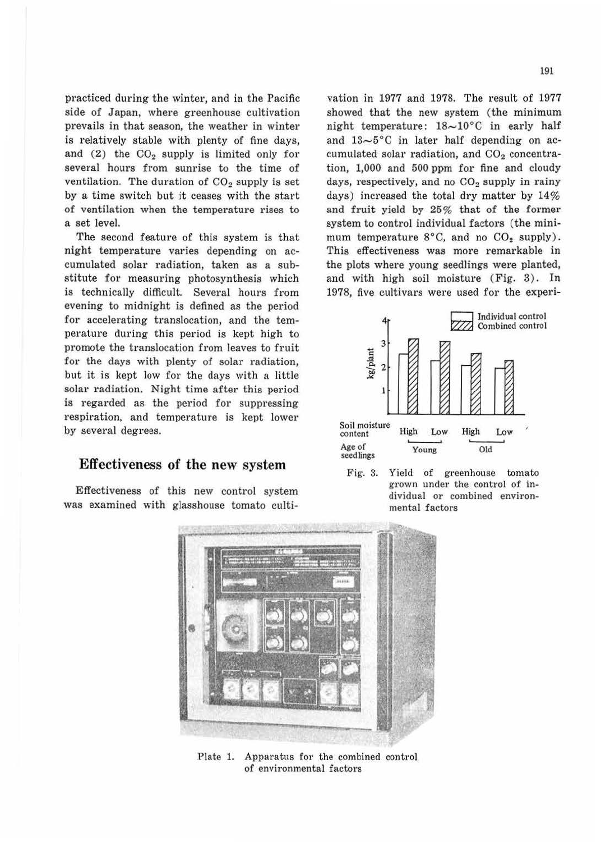practiced during the winter, and in the Pacific side of Japan, where greenhouse cultivation prevails in that season, the weather in winter is relatively stable with plenty of fine days, and  $(2)$  the  $CO<sub>2</sub>$  supply is limited only for several hours from sunrise to the time of ventilation. The duration of  $CO<sub>2</sub>$  supply is set by a time switch but it ceases with the start of ventilation when the temperature rises to a set level.

The second feature of this system is that night temperature varies depending on accumulated solar radiation, taken as a substitute for measuring photosynthesis which is technically difficult. Several hours from evening to midnight is defined as the period for accelerating translocation, and the temperature during this period is kept high to promote the translocation from leaves to fruit for the days with plenty of solar radiation, but it is kept low for the days with a little solar radiation. Night time after this period is regarded as the period for suppressing respiration, and temperature is kept lower by several degrees.

#### Effectiveness of the new system

Effectiveness of this new control system was examined with glasshouse tomato cultivation in 1977 and 1978. The result of 1977 showed that the new system (the minimum night temperature:  $18\sim10^{\circ}$ C in early half and  $13-5^{\circ}$ C in later half depending on accumulated solar radiation, and  $CO<sub>2</sub>$  concentration, 1,000 and 500 ppm for fine and cloudy days, respectively, and no  $CO<sub>2</sub>$  supply in rainy days) increased the total dry matter by 14% and fruit yield by 25% that of the former system to control individual factors (the minimum temperature  $8^{\circ}$ C, and no CO<sub>2</sub> supply). This effectiveness was more remarkable in the plots where young seedlings were planted, and with high soil moisture (Fig. 3). In 1978, five cultivars were used for the experi-







Plate 1. Apparatus for the combined control of environmental factors